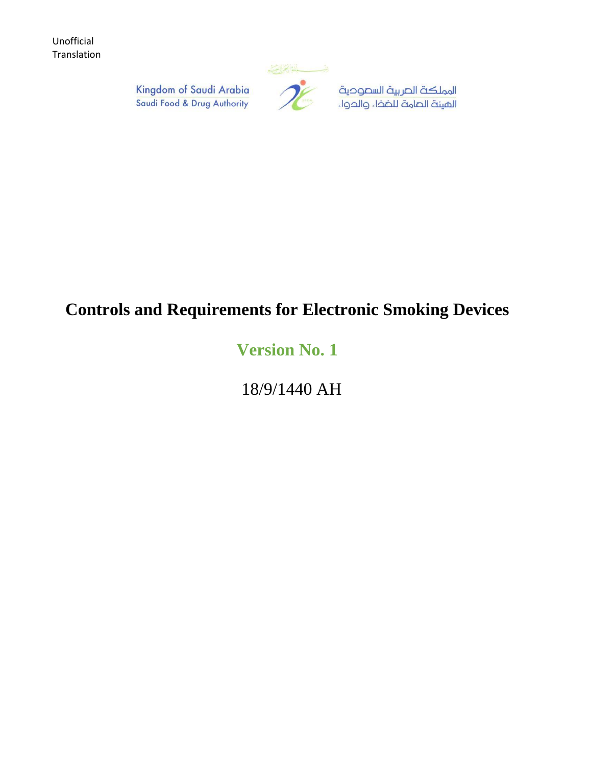

المملكة الصربية السصوحية الهيئة الصامة للضخاء والحواء

Kingdom of Saudi Arabia Saudi Food & Drug Authority

# **Controls and Requirements for Electronic Smoking Devices**

# **Version No. 1**

18/9/1440 AH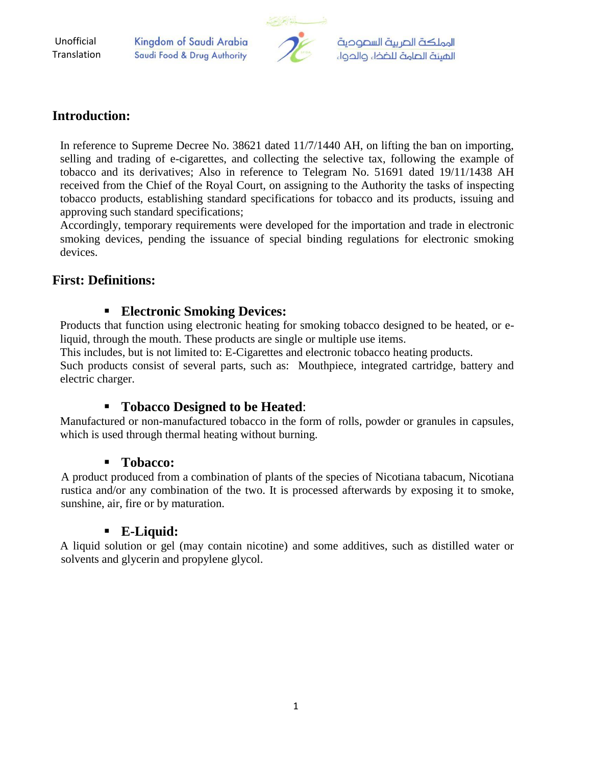Kingdom of Saudi Arabia Saudi Food & Drug Authority



المملكة الصربية السصوحية الهيئة الصامة للضخاء والحواء

#### **Introduction:**

In reference to Supreme Decree No. 38621 dated 11/7/1440 AH, on lifting the ban on importing, selling and trading of e-cigarettes, and collecting the selective tax, following the example of tobacco and its derivatives; Also in reference to Telegram No. 51691 dated 19/11/1438 AH received from the Chief of the Royal Court, on assigning to the Authority the tasks of inspecting tobacco products, establishing standard specifications for tobacco and its products, issuing and approving such standard specifications;

Accordingly, temporary requirements were developed for the importation and trade in electronic smoking devices, pending the issuance of special binding regulations for electronic smoking devices.

## **First: Definitions:**

#### **Electronic Smoking Devices:**

Products that function using electronic heating for smoking tobacco designed to be heated, or eliquid, through the mouth. These products are single or multiple use items.

This includes, but is not limited to: E-Cigarettes and electronic tobacco heating products.

Such products consist of several parts, such as: Mouthpiece, integrated cartridge, battery and electric charger.

#### **Tobacco Designed to be Heated**:

Manufactured or non-manufactured tobacco in the form of rolls, powder or granules in capsules, which is used through thermal heating without burning.

#### **Tobacco:**

A product produced from a combination of plants of the species of Nicotiana tabacum, Nicotiana rustica and/or any combination of the two. It is processed afterwards by exposing it to smoke, sunshine, air, fire or by maturation.

#### **E-Liquid:**

A liquid solution or gel (may contain nicotine) and some additives, such as distilled water or solvents and glycerin and propylene glycol.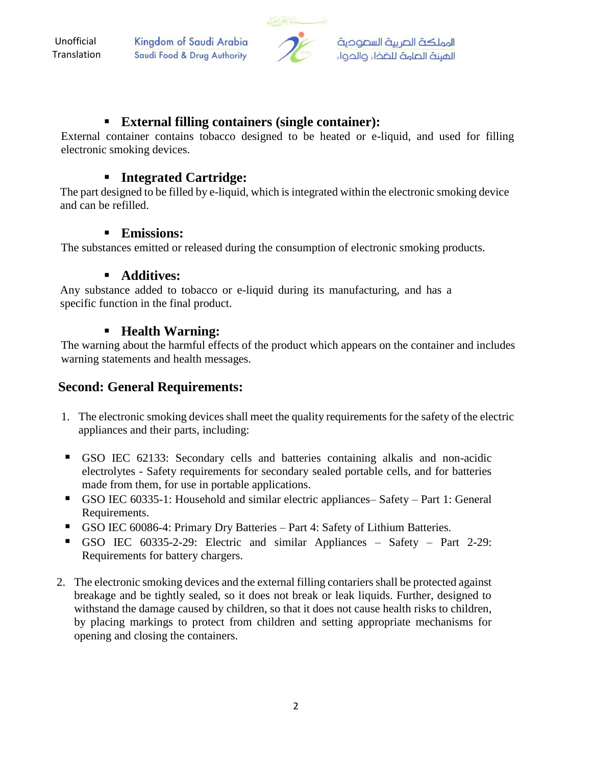Kingdom of Saudi Arabia Saudi Food & Drug Authority



#### **External filling containers (single container):**

External container contains tobacco designed to be heated or e-liquid, and used for filling electronic smoking devices.

## **Integrated Cartridge:**

The part designed to be filled by e-liquid, which is integrated within the electronic smoking device and can be refilled.

#### **Emissions:**

The substances emitted or released during the consumption of electronic smoking products.

#### **Additives:**

Any substance added to tobacco or e-liquid during its manufacturing, and has a specific function in the final product.

## **Health Warning:**

The warning about the harmful effects of the product which appears on the container and includes warning statements and health messages.

# **Second: General Requirements:**

- 1. The electronic smoking devices shall meet the quality requirements for the safety of the electric appliances and their parts, including:
- GSO IEC 62133: Secondary cells and batteries containing alkalis and non-acidic electrolytes - Safety requirements for secondary sealed portable cells, and for batteries made from them, for use in portable applications.
- GSO IEC 60335-1: Household and similar electric appliances– Safety Part 1: General Requirements.
- GSO IEC 60086-4: Primary Dry Batteries Part 4: Safety of Lithium Batteries.
- GSO IEC 60335-2-29: Electric and similar Appliances Safety Part 2-29: Requirements for battery chargers.
- 2. The electronic smoking devices and the external filling contariers shall be protected against breakage and be tightly sealed, so it does not break or leak liquids. Further, designed to withstand the damage caused by children, so that it does not cause health risks to children, by placing markings to protect from children and setting appropriate mechanisms for opening and closing the containers.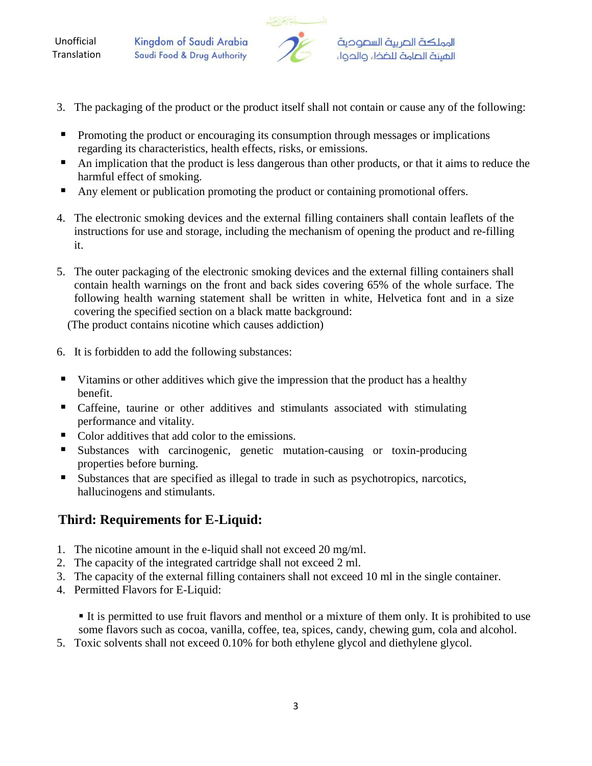Kingdom of Saudi Arabia Saudi Food & Drug Authority



- 3. The packaging of the product or the product itself shall not contain or cause any of the following:
- **Promoting the product or encouraging its consumption through messages or implications** regarding its characteristics, health effects, risks, or emissions.
- An implication that the product is less dangerous than other products, or that it aims to reduce the harmful effect of smoking.
- Any element or publication promoting the product or containing promotional offers.
- 4. The electronic smoking devices and the external filling containers shall contain leaflets of the instructions for use and storage, including the mechanism of opening the product and re-filling it.
- 5. The outer packaging of the electronic smoking devices and the external filling containers shall contain health warnings on the front and back sides covering 65% of the whole surface. The following health warning statement shall be written in white, Helvetica font and in a size covering the specified section on a black matte background:

(The product contains nicotine which causes addiction)

- 6. It is forbidden to add the following substances:
- Vitamins or other additives which give the impression that the product has a healthy benefit.
- Caffeine, taurine or other additives and stimulants associated with stimulating performance and vitality.
- Color additives that add color to the emissions.
- Substances with carcinogenic, genetic mutation-causing or toxin-producing properties before burning.
- Substances that are specified as illegal to trade in such as psychotropics, narcotics, hallucinogens and stimulants.

# **Third: Requirements for E-Liquid:**

- 1. The nicotine amount in the e-liquid shall not exceed 20 mg/ml.
- 2. The capacity of the integrated cartridge shall not exceed 2 ml.
- 3. The capacity of the external filling containers shall not exceed 10 ml in the single container.
- 4. Permitted Flavors for E-Liquid:

 It is permitted to use fruit flavors and menthol or a mixture of them only. It is prohibited to use some flavors such as cocoa, vanilla, coffee, tea, spices, candy, chewing gum, cola and alcohol.

5. Toxic solvents shall not exceed 0.10% for both ethylene glycol and diethylene glycol.